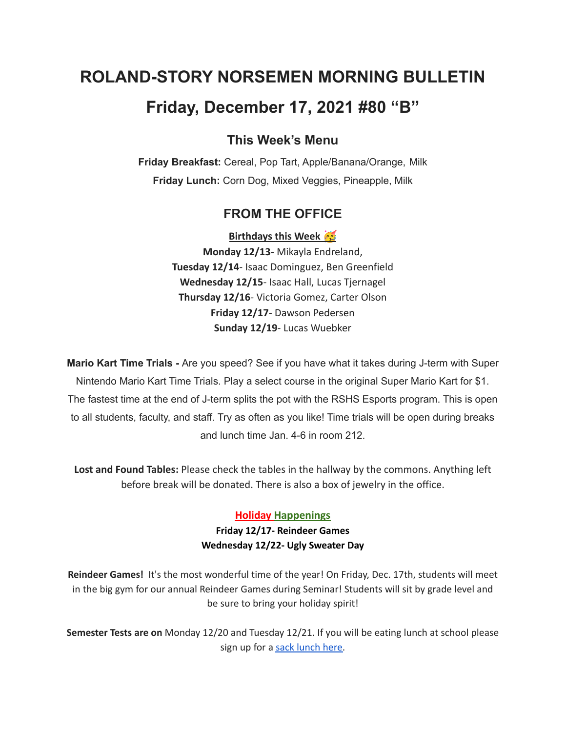# **ROLAND-STORY NORSEMEN MORNING BULLETIN Friday, December 17, 2021 #80 "B"**

## **This Week's Menu**

**Friday Breakfast:** Cereal, Pop Tart, Apple/Banana/Orange, Milk **Friday Lunch:** Corn Dog, Mixed Veggies, Pineapple, Milk

## **FROM THE OFFICE**

**Birthdays this Week** 

**Monday 12/13-** Mikayla Endreland, **Tuesday 12/14**- Isaac Dominguez, Ben Greenfield **Wednesday 12/15**- Isaac Hall, Lucas Tjernagel **Thursday 12/16**- Victoria Gomez, Carter Olson **Friday 12/17**- Dawson Pedersen **Sunday 12/19**- Lucas Wuebker

**Mario Kart Time Trials -** Are you speed? See if you have what it takes during J-term with Super Nintendo Mario Kart Time Trials. Play a select course in the original Super Mario Kart for \$1. The fastest time at the end of J-term splits the pot with the RSHS Esports program. This is open to all students, faculty, and staff. Try as often as you like! Time trials will be open during breaks and lunch time Jan. 4-6 in room 212.

**Lost and Found Tables:** Please check the tables in the hallway by the commons. Anything left before break will be donated. There is also a box of jewelry in the office.

#### **Holiday Happenings**

**Friday 12/17- Reindeer Games Wednesday 12/22- Ugly Sweater Day**

**Reindeer Games!** It's the most wonderful time of the year! On Friday, Dec. 17th, students will meet in the big gym for our annual Reindeer Games during Seminar! Students will sit by grade level and be sure to bring your holiday spirit!

**Semester Tests are on** Monday 12/20 and Tuesday 12/21. If you will be eating lunch at school please sign up for a sack [lunch](https://forms.gle/QJb3jvN4BkYbhZeYA) here.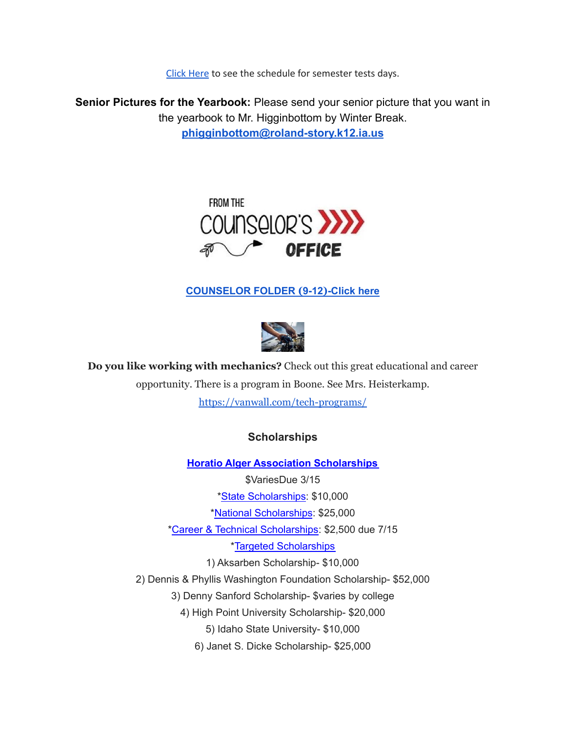Click [Here](https://drive.google.com/file/d/1f_W_f9rcsywnweiwi6fCuPDOMZBp9ou-/view?usp=sharing) to see the schedule for semester tests days.

**Senior Pictures for the Yearbook:** Please send your senior picture that you want in the yearbook to Mr. Higginbottom by Winter Break. **[phigginbottom@roland-story.k12.ia.us](mailto:phigginbottom@roland-story.k12.ia.us)**



## **[COUNSELOR](https://docs.google.com/document/d/1vmwczNPbDzXe9vFaG5LJMQ7NYDv-i4oQJHybqA65TUc/edit?usp=sharing) FOLDER (9-12)-Click here**



**Do you like working with mechanics?** Check out this great educational and career opportunity. There is a program in Boone. See Mrs. Heisterkamp. <https://vanwall.com/tech-programs/>

## **Scholarships**

**Horatio Alger Association [Scholarships](https://scholars.horatioalger.org/about-our-scholarship-programs/)**

\$VariesDue 3/15

\*State [Scholarships](https://scholars.horatioalger.org/about-our-scholarship-programs/state-scholarships/): \$10,000

\*National [Scholarships](https://scholars.horatioalger.org/about-our-scholarship-programs/national-scholarships/): \$25,000

\*Career & Technical [Scholarships:](https://scholars.horatioalger.org/about-our-scholarship-programs/technical/) \$2,500 due 7/15

\*Targeted [Scholarships](https://scholars.horatioalger.org/about-our-scholarship-programs/targeted-scholarships/)

1) Aksarben Scholarship- \$10,000

2) Dennis & Phyllis Washington Foundation Scholarship- \$52,000

3) Denny Sanford Scholarship- \$varies by college

4) High Point University Scholarship- \$20,000

5) Idaho State University- \$10,000

6) Janet S. Dicke Scholarship- \$25,000